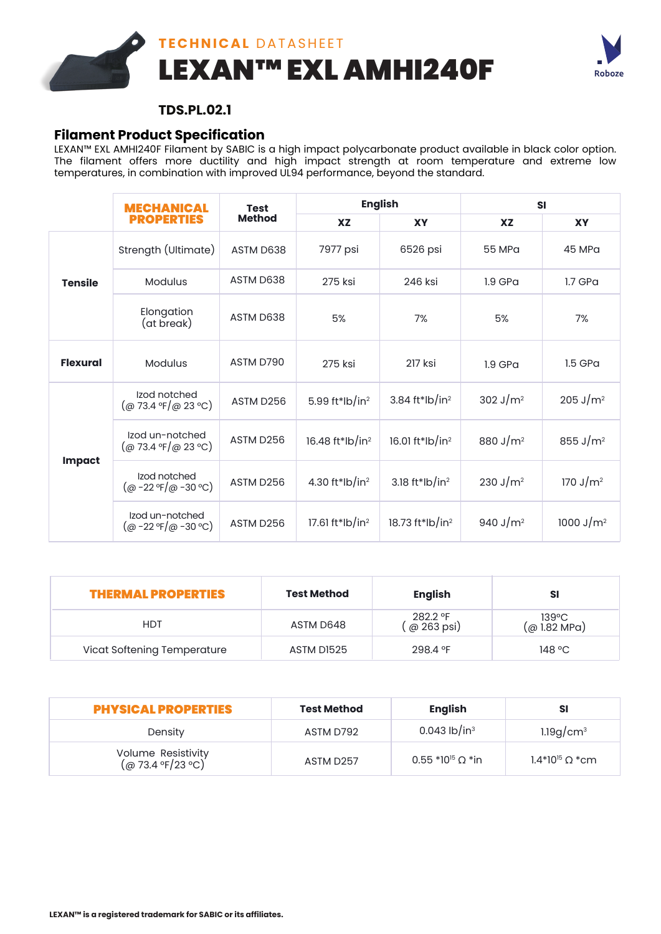



## **TDS.PL.02.1**

## **Filament Product Specification**

LEXAN™ EXL AMHI240F Filament by SABIC is a high impact polycarbonate product available in black color option. The filament offers more ductility and high impact strength at room temperature and extreme low temperatures, in combination with improved UL94 performance, beyond the standard.

|                 | <b>Test</b><br>MECHANICAL<br><b>Method</b><br><b>PROPERTIES</b>                                  |           | <b>English</b>              |                             | <b>SI</b>            |                     |
|-----------------|--------------------------------------------------------------------------------------------------|-----------|-----------------------------|-----------------------------|----------------------|---------------------|
|                 |                                                                                                  |           | <b>XZ</b>                   | <b>XY</b>                   | <b>XZ</b>            | <b>XY</b>           |
| <b>Tensile</b>  | Strength (Ultimate)                                                                              | ASTM D638 | 7977 psi                    | 6526 psi                    | 55 MPa               | 45 MPa              |
|                 | <b>Modulus</b>                                                                                   | ASTM D638 | 275 ksi                     | 246 ksi                     | $1.9$ GPa            | $1.7$ GPa           |
|                 | Elongation<br>(at break)                                                                         | ASTM D638 | 5%                          | 7%                          | 5%                   | 7%                  |
| <b>Flexural</b> | <b>Modulus</b>                                                                                   | ASTM D790 | 275 ksi                     | 217 ksi                     | $1.9$ GPa            | $1.5$ GPa           |
| <b>Impact</b>   | Izod notched<br>$(Q_0$ 73.4 °F/ $(Q_0$ 23 °C)                                                    | ASTM D256 | 5.99 ft*lb/in <sup>2</sup>  | 3.84 ft*lb/in <sup>2</sup>  | 302 J/ $m^2$         | $205 \text{ J/m}^2$ |
|                 | Izod un-notched<br>$(Q_0$ 73.4 °F/ $(Q_0$ 23 °C)                                                 | ASTM D256 | 16.48 ft*lb/in <sup>2</sup> | 16.01 ft*lb/in <sup>2</sup> | 880 J/m <sup>2</sup> | 855 J/ $m^2$        |
|                 | Izod notched<br>$(\omega - 22 \text{ }^{\circ}\text{F}/\omega - 30 \text{ }^{\circ}\text{C})$    | ASTM D256 | 4.30 ft*lb/in <sup>2</sup>  | 3.18 ft*lb/in <sup>2</sup>  | 230 J/m <sup>2</sup> | 170 J/ $m^2$        |
|                 | Izod un-notched<br>$(\omega - 22 \text{ }^{\circ}\text{F}/\omega - 30 \text{ }^{\circ}\text{C})$ | ASTM D256 | 17.61 ft*lb/in <sup>2</sup> | 18.73 ft*lb/in <sup>2</sup> | 940 J/m <sup>2</sup> | 1000 J/ $m^2$       |

| <b>THERMAL PROPERTIES</b>   | <b>Test Method</b> | <b>English</b>           | sı                             |
|-----------------------------|--------------------|--------------------------|--------------------------------|
| <b>HDT</b>                  | ASTM D648          | 282.2 °F<br>( @ 263 psi) | $139^{\circ}C$<br>(@ 1.82 MPa) |
| Vicat Softening Temperature | ASTM DI525         | 298.4 °F                 | 148 °C                         |

| <b>PHYSICAL PROPERTIES</b>                     | <b>Test Method</b>    | English                    | SI                       |
|------------------------------------------------|-----------------------|----------------------------|--------------------------|
| Density                                        | ASTM D792             | $0.043$ lb/in <sup>3</sup> | $1.19$ g/cm <sup>3</sup> |
| Volume Resistivity<br>$(\omega$ 73.4 °F/23 °C) | ASTM D <sub>257</sub> | $0.55*10^{15} \Omega *$ in | $1.4*10^{15} \Omega$ *cm |